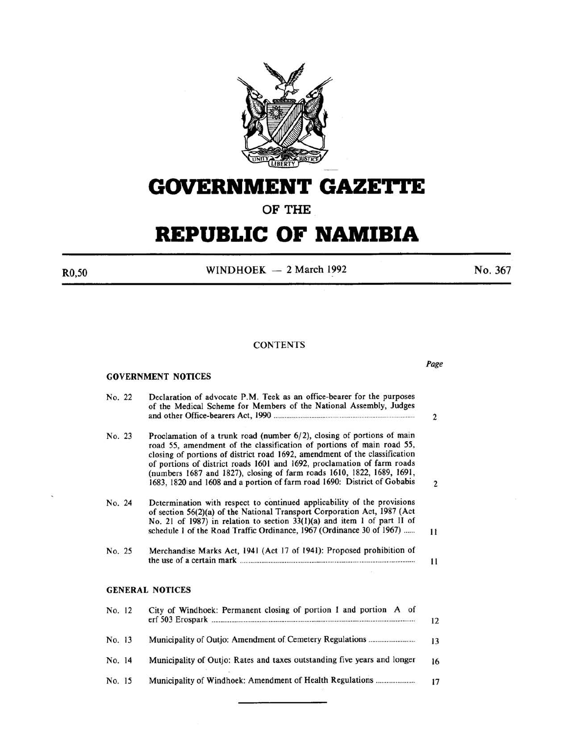

# **GOVERNMENT GAZETTE**

**OF THE** 

# **REPUBLIC OF NAMIBIA**

R0,50

WINDHOEK  $-2$  March 1992

No. 367

*Page* 

# **CONTENTS**

| <b>GOVERNMENT NOTICES</b> |
|---------------------------|
|---------------------------|

| No. 22 | Declaration of advocate P.M. Teek as an office-bearer for the purposes<br>of the Medical Scheme for Members of the National Assembly, Judges                                                                                                                                                                                                                                                                                                                   | $\overline{2}$          |
|--------|----------------------------------------------------------------------------------------------------------------------------------------------------------------------------------------------------------------------------------------------------------------------------------------------------------------------------------------------------------------------------------------------------------------------------------------------------------------|-------------------------|
| No. 23 | Proclamation of a trunk road (number 6/2), closing of portions of main<br>road 55, amendment of the classification of portions of main road 55,<br>closing of portions of district road 1692, amendment of the classification<br>of portions of district roads 1601 and 1692, proclamation of farm roads<br>(numbers 1687 and 1827), closing of farm roads 1610, 1822, 1689, 1691,<br>1683, 1820 and 1608 and a portion of farm road 1690: District of Gobabis | $\overline{\mathbf{c}}$ |
| No. 24 | Determination with respect to continued applicability of the provisions<br>of section 56(2)(a) of the National Transport Corporation Act, 1987 (Act<br>No. 21 of 1987) in relation to section 33(1)(a) and item 1 of part II of<br>schedule 1 of the Road Traffic Ordinance, 1967 (Ordinance 30 of 1967)                                                                                                                                                       | $_{11}$                 |
| No. 25 | Merchandise Marks Act, 1941 (Act 17 of 1941): Proposed prohibition of                                                                                                                                                                                                                                                                                                                                                                                          | 11                      |
|        | <b>GENERAL NOTICES</b>                                                                                                                                                                                                                                                                                                                                                                                                                                         |                         |
| No. 12 | City of Windhoek: Permanent closing of portion 1 and portion A of                                                                                                                                                                                                                                                                                                                                                                                              | 12                      |
| No. 13 |                                                                                                                                                                                                                                                                                                                                                                                                                                                                | 13                      |
| No. 14 | Municipality of Outjo: Rates and taxes outstanding five years and longer                                                                                                                                                                                                                                                                                                                                                                                       | 16                      |
| No. 15 |                                                                                                                                                                                                                                                                                                                                                                                                                                                                | 17                      |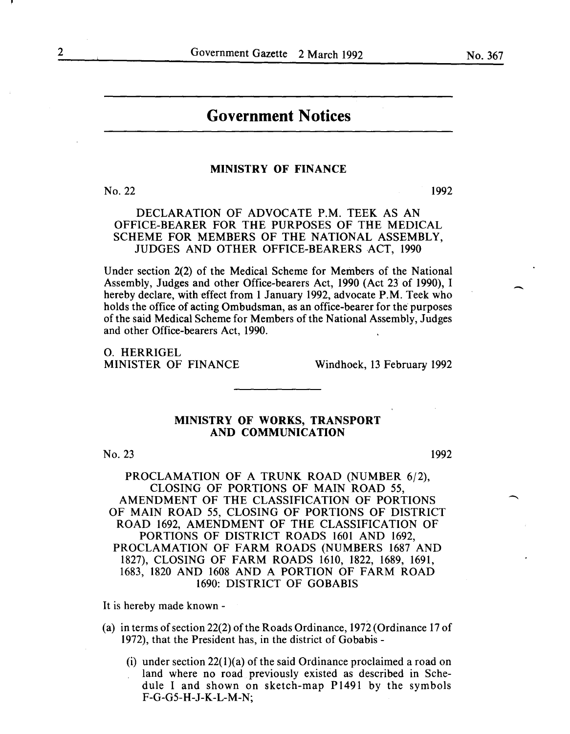# **Government Notices**

#### MINISTRY OF FINANCE

No. 22 1992

DECLARATION OF ADVOCATE P.M. TEEK AS AN OFFICE-BEARER FOR THE PURPOSES OF THE MEDICAL SCHEME FOR MEMBERS OF THE NATIONAL ASSEMBLY, JUDGES AND OTHER OFFICE-BEARERS ACT, 1990

Under section 2(2) of the Medical Scheme for Members of the National Assembly, Judges and other Office-bearers Act, 1990 (Act 23 of 1990), I hereby declare, with effect from 1 January 1992, advocate P.M. Teek who holds the office of acting Ombudsman, as an office-bearer for the purposes of the said Medical Scheme for Members ofthe National Assembly, Judges and other Office-bearers Act, 1990.

**O. HERRIGEL<br>MINISTER OF FINANCE** 

Windhoek, 13 February 1992

# MINISTRY OF WORKS, TRANSPORT AND COMMUNICATION

No. 23

1992

PROCLAMATION OF A TRUNK ROAD (NUMBER 6/2), CLOSING OF PORTIONS OF MAIN ROAD 55, AMENDMENT OF THE CLASSIFICATION OF PORTIONS OF MAIN ROAD 55, CLOSING OF PORTIONS OF DISTRICT ROAD 1692, AMENDMENT OF THE CLASSIFICATION OF PORTIONS OF DISTRICT ROADS 1601 AND 1692, PROCLAMATION OF FARM ROADS (NUMBERS 1687 AND 1827), CLOSING OF FARM ROADS 1610, 1822, 1689, 1691, 1683, 1820 AND 1608 AND A PORTION OF FARM ROAD 1690: DISTRICT OF GOBABIS

It is hereby made known -

- (a) in terms of section 22(2) of the Roads Ordinance, 1972 (Ordinance 17 of 1972), that the President has, in the district of Gobabis-
	- (i) under section  $22(1)(a)$  of the said Ordinance proclaimed a road on land where no road previously existed as described in Schedule I and shown on sketch-map P1491 by the symbols F-G-G5-H-J-K-L-M-N;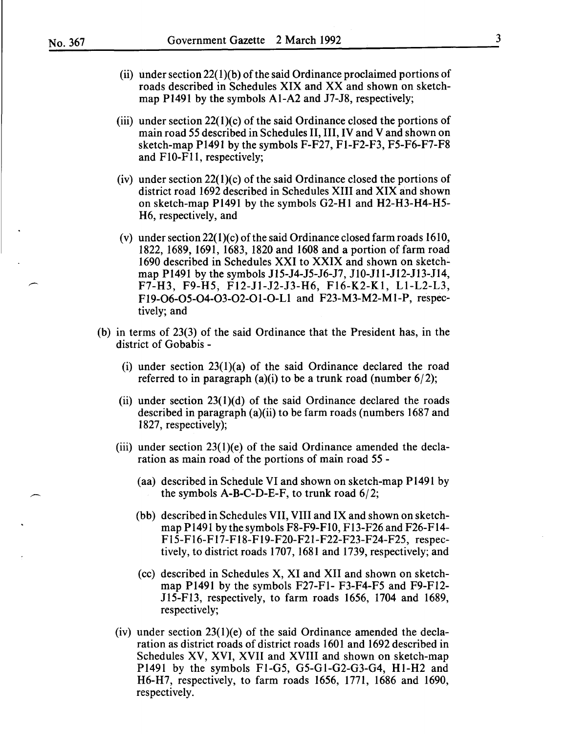- (ii) under section  $22(1)(b)$  of the said Ordinance proclaimed portions of roads described in Schedules XIX and XX and shown on sketchmap PI49I by the symbols AI-A2 and J7-J8, respectively;
- (iii) under section  $22(1)(c)$  of the said Ordinance closed the portions of main road 55 described in Schedules II, III, IV and V and shown on sketch-map PI49I by the symbols F-F27, FI-F2-F3, F5-F6-F7-F8 and FIO-FII, respectively;
- (iv) under section  $22(1)(c)$  of the said Ordinance closed the portions of district road I692 described in Schedules XIII and XIX and shown on sketch-map PI49I by the symbols G2-HI and H2-H3-H4-H5- H6, respectively, and
- (v) under section 22(I)(c) of the said Ordinance closed farm roads I6IO, I822, I689, I69I, I683, I820 and I608 and a portion of farm road I690 described in Schedules XXI to XXIX and shown on sketchmap PI49I by the symbols JI5-J4-J5-J6-J7, JIO-JII-JI2-Jl3-JI4, F7-H3, F9-H5, FI2-Jl-J2-J3-H6, FI6-K2-KI, LI-L2-L3, FI9-06-05-04-03-02-0I-O-LI and F23-M3-M2-MI-P, respectively; and
- (b) in terms of 23(3) of the said Ordinance that the President has, in the district of Gobabis-
	- (i) under section  $23(1)(a)$  of the said Ordinance declared the road referred to in paragraph (a)(i) to be a trunk road (number  $6/2$ );
	- (ii) under section  $23(1)(d)$  of the said Ordinance declared the roads described in paragraph (a)(ii) to be farm roads (numbers I687 and I827, respectively);
	- (iii) under section  $23(1)(e)$  of the said Ordinance amended the declaration as main road of the portions of main road 55 -
		- (aa) described in Schedule VI and shown on sketch-map PI49I by the symbols  $A-B-C-D-E-F$ , to trunk road  $6/2$ ;
		- (bb) described in Schedules VII, VIII and IX and shown on sketchmap PI49I by the symbols F8-F9-FIO, Fl3-F26 and F26-FI4- FI5-FI6-F I7-FI8-FI9-F20-F2I-F22-F23-F24-F25, respectively, to district roads I707, I68I and I739, respectively; and
		- (cc) described in Schedules X, XI and XII and shown on sketchmap PI49I by the symbols F27-FI- F3-F4-F5 and F9-FI2- Jl5-Fl3, respectively, to farm roads I656, I704 and I689, respectively;
	- (iv) under section  $23(1)(e)$  of the said Ordinance amended the declaration as district roads of district roads I60I and I692 described in Schedules XV, XVI, XVII and XVIII and shown on sketch-map PI49I by the symbols FI-G5, G5-GI-G2-G3-G4, HI-H2 and H6-H7, respectively, to farm roads I656, I771, I686 and I690, respectively.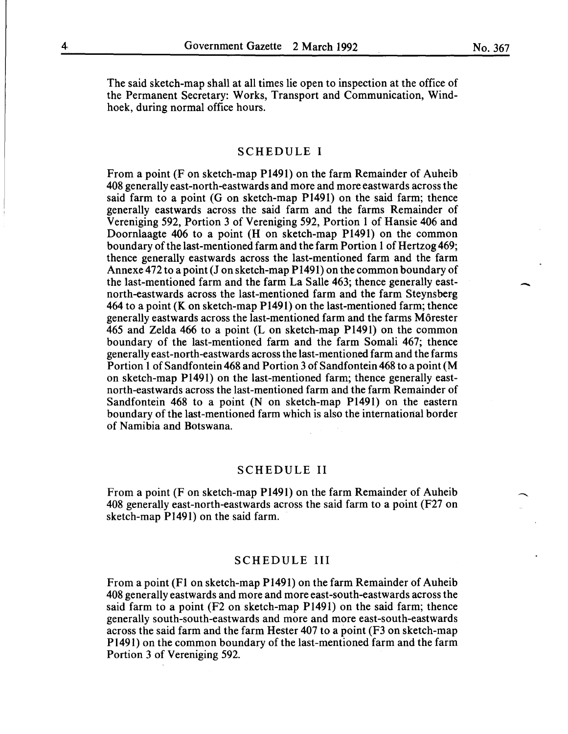The said sketch-map shall at all times lie open to inspection at the office of the Permanent Secretary: Works, Transport and Communication, Windhoek, during normal office hours.

#### SCHEDULE I

From a point (F on sketch-map Pl491) on the farm Remainder of Auheib 408 generally east-north-eastwards and more and more eastwards across the said farm to a point (G on sketch-map Pl491) on the said farm; thence generally eastwards across the said farm and the farms Remainder of Vereniging 592, Portion 3 of Vereniging 592, Portion 1 of Hansie 406 and Doornlaagte 406 to a point (H on sketch-map Pl491) on the common boundary of the last-mentioned farm and the farm Portion 1 of Hertzog 469; thence generally eastwards across the last-mentioned farm and the farm Annexe 472 to a point (Jon sketch-map Pl491) on the common boundary of the last-mentioned farm and the farm La Salle 463; thence generally eastnorth-eastwards across the last-mentioned farm and the farm Steynsberg 464 to a point (K on sketch-map Pl491) on the last-mentioned farm; thence generally eastwards across the last-mentioned farm and the farms Morester 465 and Zelda 466 to a point (L on sketch-map P1491) on the common boundary of the last-mentioned farm and the farm Somali 467; thence generally east-north-eastwards across the last-mentioned farm and the farms Portion 1 of Sandfontein 468 and Portion 3 of Sandfontein 468 to a point (M on sketch-map P1491) on the last-mentioned farm; thence generally eastnorth-eastwards across the last-mentioned farm and the farm Remainder of Sandfontein 468 to a point (N on sketch-map Pl491) on the eastern boundary of the last-mentioned farm which is also the international border of Namibia and Botswana.

#### SCHEDULE II

From a point (F on sketch-map Pl491) on the farm Remainder of Auheib 408 generally east-north-eastwards across the said farm to a point (F27 on sketch-map P1491) on the said farm.

#### SCHEDULE III

From a point (F1 on sketch-map Pl491) on the farm Remainder of Auheib 408 generally eastwards and more and more east-south-eastwards across the said farm to a point (F2 on sketch-map Pl491) on the said farm; thence generally south-south-eastwards and more and more east-south-eastwards across the said farm and the farm Hester 407 to a point (F3 on sketch-map Pl491) on the common boundary of the last-mentioned farm and the farm Portion 3 of Vereniging 592.

No. 367

-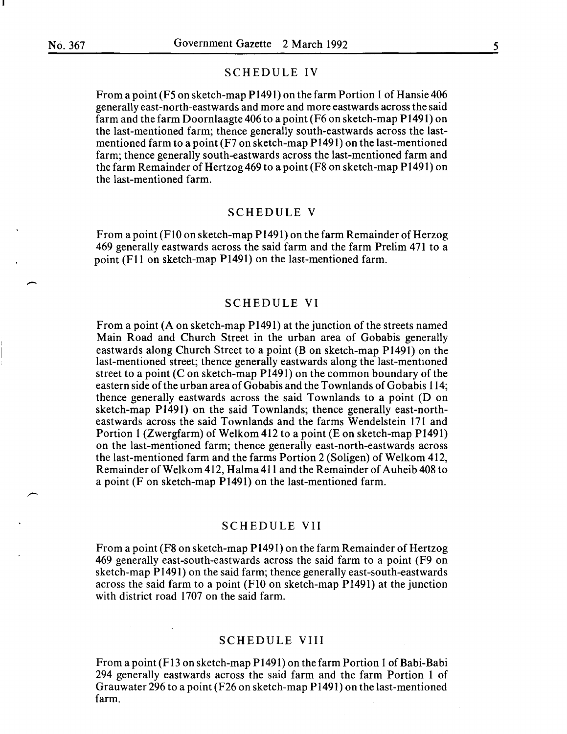$\overline{\phantom{a}}$ 

-

# SCHEDULE IV

From a point (F5 on sketch-map P 1491) on the farm Portion 1 of Hansie 406 generally east-north-eastwards and more and more eastwards across the said farm and the farm Doornlaagte 406 to a point (F6 on sketch-map P 1491) on the last-mentioned farm; thence generally south-eastwards across the lastmentioned farm to a point (F7 on sketch-map P1491) on the last-mentioned farm; thence generally south-eastwards across the last-mentioned farm and the farm Remainder of Hertzog 469 to a point (F8 on sketch-map P 1491) on the last-mentioned farm.

# SCHEDULE V

From a point (F 10 on sketch-map P 1491) on the farm Remainder of Herzog 469 generally eastwards across the said farm and the farm Prelim 471 to a point (F11 on sketch-map P1491) on the last-mentioned farm.

# SCHEDULE VI

From a point  $(A \text{ on sketch-map } P1491)$  at the junction of the streets named Main Road and Church Street in the urban area of Gobabis generally eastwards along Church Street to a point (B on sketch-map P1491) on the last-mentioned street; thence generally eastwards along the last-mentioned street to a point  $(C \text{ on sketch-map } P1491)$  on the common boundary of the eastern side of the urban area of Gobabis and the Townlands of Gobabis 114; thence generally eastwards across the said Townlands to a point (D on sketch-map P1491) on the said Townlands; thence generally east-northeastwards across the said Townlands and the farms Wendelstein 171 and Portion 1 (Zwergfarm) of Welkom 412 to a point (E on sketch-map P1491) on the last-mentioned farm; thence generally east-north-eastwards across the last-mentioned farm and the farms Portion 2 (Soligen) of Welkom 412, Remainder of Welkom 412, Halma 411 and the Remainder of Auheib 408 to a point (F on sketch-map P1491) on the last-mentioned farm.

#### SCHEDULE VII

From a point (F8 on sketch-map P1491) on the farm Remainder of Hertzog 469 generally east-south-eastwards across the said farm to a point (F9 on sketch-map P1491) on the said farm; thence generally east-south-eastwards across the said farm to a point (FlO on sketch-map P1491) at the junction with district road 1707 on the said farm.

# SCHEDULE VIII

From a point (F13 on sketch-map P1491) on the farm Portion 1 of Babi-Babi 294 generally eastwards across the said farm and the farm Portion 1 of Grauwater 296 to a point (F26 on sketch-map P1491) on the last-mentioned farm.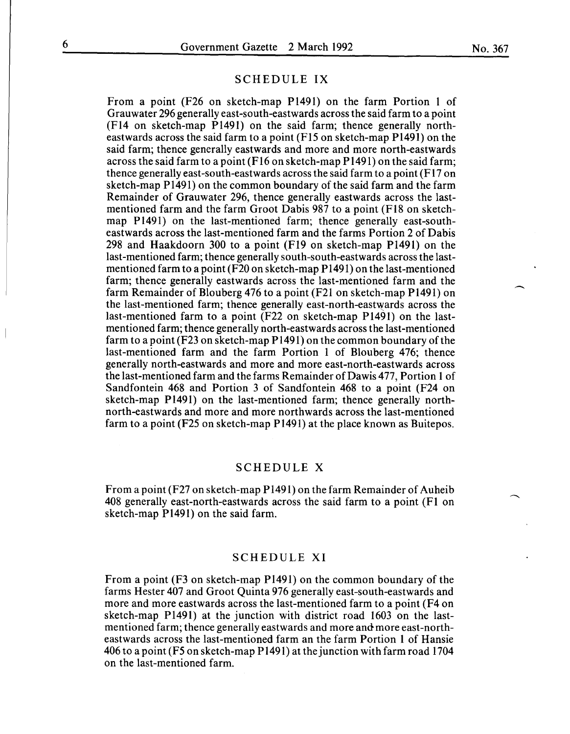$\overline{\phantom{a}}$ 

# SCHEDULE IX

From a point (F26 on sketch-map P1491) on the farm Portion 1 of Grauwater 296 generally east-south-eastwards across the said farm to a point (F14 on sketch-map P1491) on the said farm; thence generally northeastwards across the said farm to a point (F15 on sketch-map P1491) on the said farm; thence generally eastwards and more and more north-eastwards across the said farm to a point (F16 on sketch-map P1491) on the said farm; thence generally east-south-eastwards across the said farm to a point (F17 on sketch-map P1491) on the common boundary of the said farm and the farm Remainder of Grauwater 296, thence generally eastwards across the lastmentioned farm and the farm Groot Dabis 987 to a point (F18 on sketchmap P1491) on the last-mentioned farm; thence generally east-southeastwards across the last-mentioned farm and the farms Portion 2 of Dabis 298 and Haakdoorn 300 to a point (F19 on sketch-map P1491) on the last-mentioned farm; thence generally south-south-eastwards across the lastmentioned farm to a point (F20 on sketch-map P 1491) on the last-mentioned farm; thence generally eastwards across the last-mentioned farm and the farm Remainder of Blouberg 476 to a point (F21 on sketch-map P1491) on the last-mentioned farm; thence generally east-north-eastwards across the last-mentioned farm to a point (F22 on sketch-map P1491) on the lastmentioned farm; thence generally north-eastwards across the last-mentioned farm to a point (F23 on sketch-map P 1491) on the common boundary of the last-mentioned farm and the farm Portion 1 of Blouberg 476; thence generally north-eastwards and more and more east-north-eastwards across the last-mentioned farm and the farms Remainder ofDawis 477, Portion 1 of Sandfontein 468 and Portion 3 of Sandfontein 468 to a point (F24 on sketch-map P1491) on the last-mentioned farm; thence generally northnorth-eastwards and more and more northwards across the last-mentioned farm to a point (F25 on sketch-map P1491) at the place known as Buitepos.

# SCHEDULE X

From a point(F27 on sketch-map P1491) on the farm Remainder of Auheib 408 generally east-north-eastwards across the said farm to a point (F1 on sketch-map P1491) on the said farm.

#### SCHEDULE XI

From a point (F3 on sketch-map P1491) on the common boundary of the farms Hester 407 and Groot Quinta 976 generally east-south-eastwards and more and more eastwards across the last-mentioned farm to a point (F4 on sketch-map P1491) at the junction with district road 1603 on the lastmentioned farm; thence generally eastwards and more and more east-northeastwards across the last-mentioned farm an the farm Portion 1 of Hansie 406 to a point (F5 on sketch-map P 1491) at the junction with farm road 1704 on the last-mentioned farm.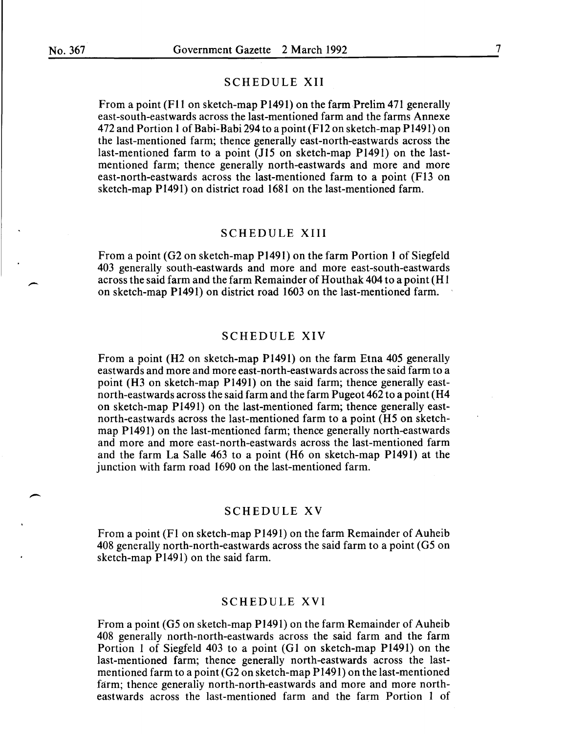-

# SCHEDULE XII

From a point (F11 on sketch-map P1491) on the farm Prelim 471 generally east-south-eastwards across the last-mentioned farm and the farms Annexe 472 and Portion 1 of Babi-Babi 294 to a point (F12 on sketch-map P1491) on the last-mentioned farm; thence generally east-north-eastwards across the last-mentioned farm to a point *(115* on sketch-map Pl491) on the lastmentioned farm; thence generally north-eastwards and more and more east-north-eastwards across the last-mentioned farm to a point (Fl3 on sketch-map P1491) on district road 1681 on the last-mentioned farm.

# SCHEDULE XIII

From a point (G2 on sketch-map P1491) on the farm Portion 1 of Siegfeld 403 generally south-eastwards and more and more east-south-eastwards across the said farm and the farm Remainder of Houthak 404 to a point (H 1 on sketch-map P1491) on district road 1603 on the last-mentioned farm.

#### SCHEDULE XIV

From a point (H2 on sketch-map P1491) on the farm Etna 405 generally eastwards and more and more east-north-eastwards across the said farm to a point (H3 on sketch-map P1491) on the said farm; thence generally eastnorth-eastwards across the said farm and the farm Pugeot 462 to a point (H4 on sketch-map P1491) on the last-mentioned farm; thence generally eastnorth-eastwards across the last-mentioned farm to a point (H5 on sketchmap P1491) on the last-mentioned farm; thence generally north-eastwards and more and more east-north-eastwards across the last-mentioned farm and the farm La Salle 463 to a point (H6 on sketch-map P1491) at the junction with farm road 1690 on the last-mentioned farm.

# SCHEDULE XV

From a point (F1 on sketch-map P1491) on the farm Remainder of Auheib 408 generally north-north-eastwards across the said farm to a point (G5 on sketch-map P1491) on the said farm.

# SCHEDULE XVI

From a point (G5 on sketch-map P1491) on the farm Remainder of Auheib 408 generally north-north-eastwards across the said farm and the farm Portion 1 of Siegfeld 403 to a point (G1 on sketch-map P1491) on the last-mentioned farm; thence generally north-eastwards across the lastmentioned farm to a point (G2 on sketch-map P1491) on the last-mentioned farm; thence generally north-north-eastwards and more and more northeastwards across the last-mentioned farm and the farm Portion 1 of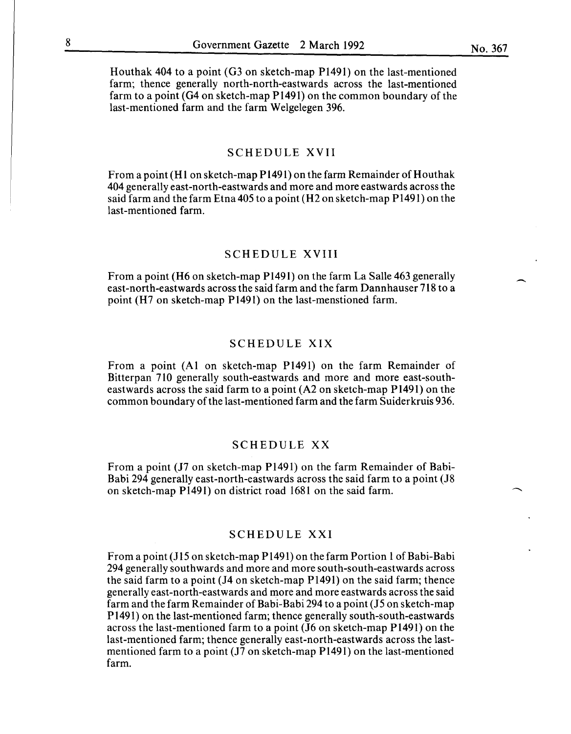Houthak 404 to a point (G3 on sketch-map P1491) on the last-mentioned farm; thence generally north-north-eastwards across the last-mentioned farm to a point (G4 on sketch-map P1491) on the common boundary of the last-mentioned farm and the farm Welgelegen 396.

#### SCHEDULE XVII

From a point (H1 on sketch-map P1491) on the farm Remainder of Houthak 404 generally east-north-eastwards and more and more eastwards across the said farm and the farm Etna405 to a point (H2 on sketch-map P1491) on the last-mentioned farm.

#### SCHEDULE XVIII

From a point (H6 on sketch-map P1491) on the farm La Salle 463 generally east-north-eastwards across the said farm and the farm Dannhauser 718 to a point (H7 on sketch-map P1491) on the last-menstioned farm.

# SCHEDULE XIX

From a point (AI on sketch-map P1491) on the farm Remainder of Bitterpan 710 generally south-eastwards and more and more east-southeastwards across the said farm to a point (A2 on sketch-map P1491) on the common boundary of the last-mentioned farm and the farm Suiderkruis 936.

#### SCHEDULE XX

From a point (J7 on sketch-map P1491) on the farm Remainder of Babi-Babi 294 generally east-north-eastwards across the said farm to a point (J8 on sketch-map P1491) on district road 1681 on the said farm.

#### SCHEDULE XXI

From a point (J15 on sketch-map  $P(1491)$  on the farm Portion 1 of Babi-Babi 294 generally southwards and more and more south-south-eastwards across the said farm to a point (J4 on sketch-map P1491) on the said farm; thence generally east-north-eastwards and more and more eastwards across the said farm and the farm Remainder of Babi-Babi 294 to a point  $(15 \text{ on sketch-map})$ Pl491) on the last-mentioned farm; thence generally south-south-eastwards across the last-mentioned farm to a point (J6 on sketch-map P1491) on the last-mentioned farm; thence generally east-north-eastwards across the lastmentioned farm to a point (J7 on sketch-map P1491) on the last-mentioned farm.

 $\overline{\phantom{a}}$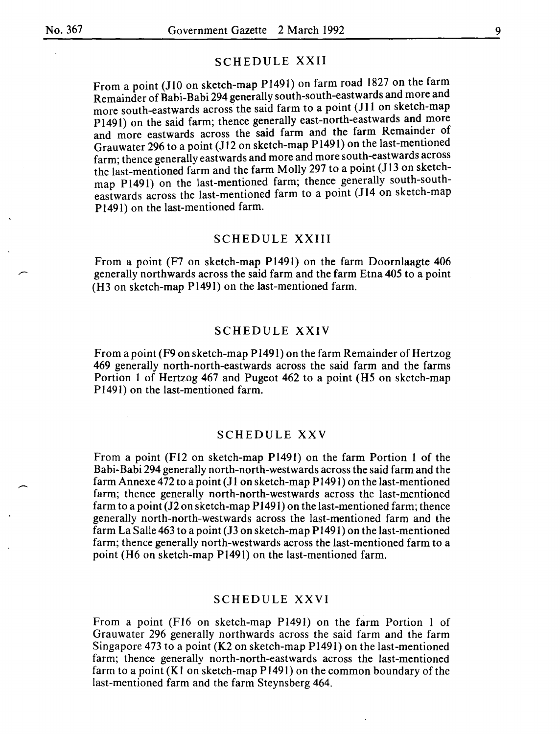#### SCHEDULE XXII

From a point (JIO on sketch-map PI49I) on farm road I827 on the farm Remainder of Babi-Babi 294 generally south-south-eastwards and more and more south-eastwards across the said farm to a point (JII on sketch-map P1491) on the said farm; thence generally east-north-eastwards and more and more eastwards across the said farm and the farm Remainder of Grauwater 296 to a point (J12 on sketch-map P1491) on the last-mentioned farm; thence generally eastwards and more and more south-eastwards across the last-mentioned farm and the farm Molly 297 to a point (J13 on sketchmap P1491) on the last-mentioned farm; thence generally south-southeastwards across the last-mentioned farm to a point (J14 on sketch-map Pl491) on the last-mentioned farm.

#### SCHEDULE XXIII

From a point (F7 on sketch-map Pl49I) on the farm Doornlaagte 406 generally northwards across the said farm and the farm Etna 405 to a point (H3 on sketch-map Pl491) on the last-mentioned farm.

#### SCHEDULE XXIV

From a point (F9 on sketch-map PI49I) on the farm Remainder of Hertzog 469 generally north-north-eastwards across the said farm and the farms Portion I of Hertzog 467 and Pugeot 462 to a point (H5 on sketch-map Pl491) on the last-mentioned farm.

#### SCHEDULE XXV

From a point (FI2 on sketch-map PI49I) on the farm Portion I of the Babi-Babi 294 generally north-north-westwards across the said farm and the farm Annexe 472 to a point (J1 on sketch-map  $P1491$ ) on the last-mentioned farm; thence generally north-north-westwards across the last-mentioned farm to a point {12 on sketch-map PI49I) on the last-mentioned farm; thence generally north-north-westwards across the last-mentioned farm and the farm La Salle 463 to a point (J3 on sketch-map PI49I) on the last-mentioned farm; thence generally north-westwards across the last-mentioned farm to a point (H6 on sketch-map PI49I) on the last-mentioned farm.

# SCHEDULE XXVI

From a point (F16 on sketch-map P1491) on the farm Portion 1 of Grauwater 296 generally northwards across the said farm and the farm Singapore 473 to a point (K2 on sketch-map PI491) on the last-mentioned farm; thence generally north-north-eastwards across the last-mentioned farm to a point (Kl on sketch-map PI49I) on the common boundary of the last-mentioned farm and the farm Steynsberg 464.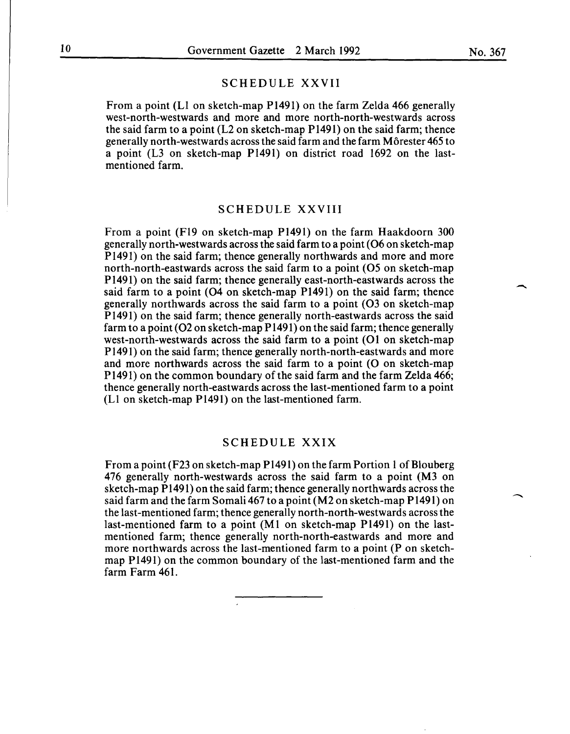-

#### SCHEDULE XXVII

From a point (L1 on sketch-map P1491) on the farm Zelda 466 generally west-north-westwards and more and more north-north-westwards across the said farm to a point (L2 on sketch-map P1491) on the said farm; thence generally north-westwards across the said farm and the farm Morester 465 to a point (L3 on sketch-map P1491) on district road 1692 on the lastmentioned farm.

# SCHEDULE XXVIII

From a point (F19 on sketch-map P1491) on the farm Haakdoorn 300 generally north-westwards across the said farm to a point (06 on sketch-map P 1491) on the said farm; thence generally northwards and more and more north-north-eastwards across the said farm to a point (05 on sketch-map P1491) on the said farm; thence generally east-north-eastwards across the said farm to a point (04 on sketch-map P1491) on the said farm; thence generally northwards across the said farm to a point (03 on sketch-map P 1491) on the said farm; thence generally north-eastwards across the said farm to a point (02 on sketch-map P1491) on the said farm; thence generally west-north-westwards across the said farm to a point (01 on sketch-map P1491) on the said farm; thence generally north-north-eastwards and more and more northwards across the said farm to a point (O on sketch-map P 1491) on the common boundary of the said farm and the farm Zelda 466; thence generally north-eastwards across the last-mentioned farm to a point (L1 on sketch-map P1491) on the last-mentioned farm.

# SCHEDULE XXIX

From a point (F23 on sketch-map P1491) on the farm Portion 1 of Blouberg 476 generally north-westwards across the said farm to a point (M3 on sketch-map P1491) on the said farm; thence generally northwards across the said farm and the farm Somali 467 to a point (M2 on sketch-map P 1491) on the last-mentioned farm; thence generally north-north-westwards across the last-mentioned farm to a point (M1 on sketch-map P1491) on the lastmentioned farm; thence generally north-north-eastwards and more and more northwards across the last-mentioned farm to a point (P on sketchmap P1491) on the common boundary of the last-mentioned farm and the farm Farm 461.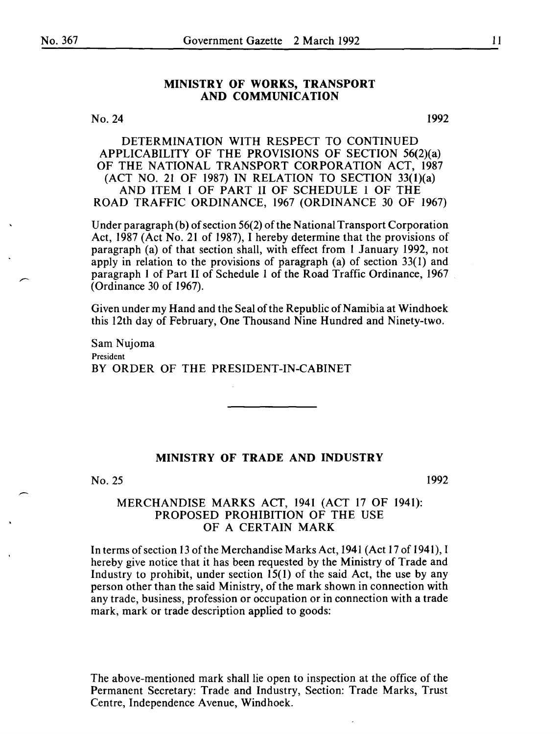# MINISTRY OF WORKS, TRANSPORT AND COMMUNICATION

No. 24

I992

DETERMINATION WITH RESPECT TO CONTINUED APPLICABILITY OF THE PROVISIONS OF SECTION 56(2)(a) OF THE NATIONAL TRANSPORT CORPORATION ACT, I987 (ACT NO. 2I OF I987) IN RELATION TO SECTION 33(I)(a) AND ITEM I OF PART II OF SCHEDULE I OF THE ROAD TRAFFIC ORDINANCE, I967 (ORDINANCE 30 OF I967)

Under paragraph (b) of section 56(2) of the National Transport Corporation Act, I987 (Act No. 21 of 1987), I hereby determine that the provisions of paragraph (a) of that section shall, with effect from I January 1992, not apply in relation to the provisions of paragraph (a) of section 33(1) and paragraph 1 of Part II of Schedule I of the Road Traffic Ordinance, 1967 (Ordinance 30 of I967).

Given under my Hand and the Seal of the Republic of Namibia at Windhoek this 12th day of February, One Thousand Nine Hundred and Ninety-two.

Sam Nujoma President BY ORDER OF THE PRESIDENT-IN-CABINET

#### MINISTRY OF TRADE AND INDUSTRY

#### No. 25

1992

# MERCHANDISE MARKS ACT, 1941 (ACT 17 OF 1941): PROPOSED PROHIBITION OF THE USE OF A CERTAIN MARK

In terms of section 13 of the Merchandise Marks Act, 1941 (Act I7 of 1941 ), I hereby give notice that it has been requested by the Ministry of Trade and Industry to prohibit, under section 15(1) of the said Act, the use by any person other than the said Ministry, of the mark shown in connection with any trade, business, profession or occupation or in connection with a trade mark, mark or trade description applied to goods:

The above-mentioned mark shall lie open to inspection at the office of the Permanent Secretary: Trade and Industry, Section: Trade Marks, Trust Centre, Independence Avenue, Windhoek.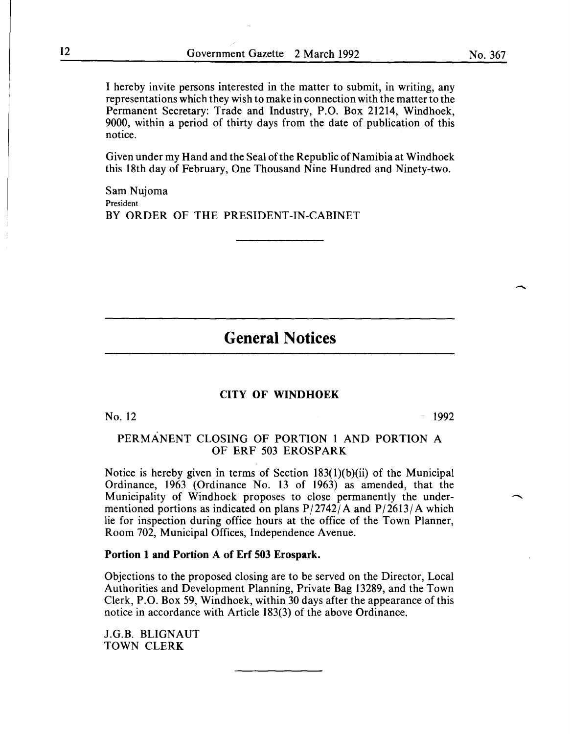I hereby invite persons interested in the matter to submit, in writing, any representations which they wish to make in connection with the matter to the Permanent Secretary: Trade and Industry, P.O. Box 21214, Windhoek, 9000, within a period of thirty days from the date of publication of this notice.

Given under my Hand and the Seal of the Republic of Namibia at Windhoek this 18th day of February, One Thousand Nine Hundred and Ninety-two.

Sam Nujoma President BY ORDER OF THE PRESIDENT-IN-CABINET

# **General Notices**

#### **CITY OF WINDHOEK**

No.  $12$  and  $1992$ 

# PERMANENT CLOSING OF PORTION I AND PORTION A OF ERF 503 EROSPARK

Notice is hereby given in terms of Section  $183(1)(b)(ii)$  of the Municipal Ordinance, 1963 (Ordinance No. 13 of 1963) as amended, that the Municipality of Windhoek proposes to close permanently the undermentioned portions as indicated on plans  $P/2742/A$  and  $P/2613/A$  which lie for inspection during office hours at the office of the Town Planner, Room 702, Municipal Offices, Independence A venue.

#### **Portion 1 and Portion A of Erf 503 Erospark.**

Objections to the proposed closing are to be served on the Director, Local Authorities and Development Planning, Private Bag 13289, and the Town Clerk, P.O. Box 59, Windhoek, within 30 days after the appearance of this notice in accordance with Article 183(3) of the above Ordinance.

J.G.B. BLIGNAUT TOWN CLERK

-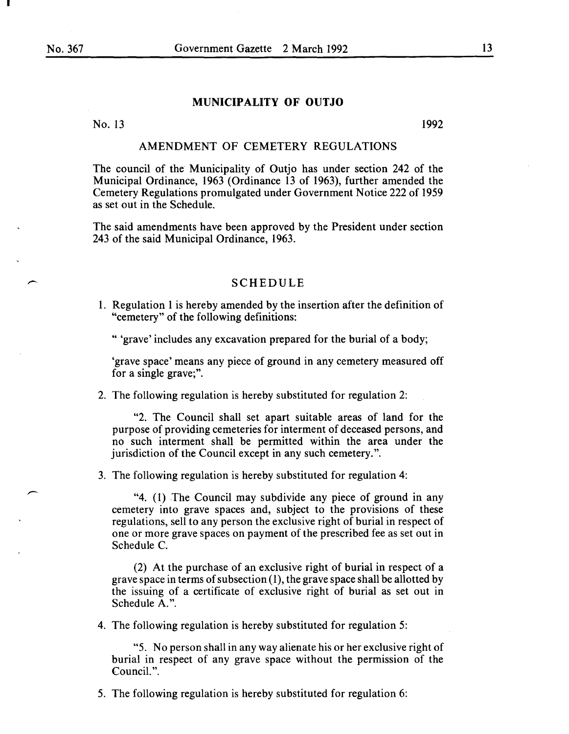# **MUNICIPALITY OF OUTJO**

No. 13 1992

#### AMENDMENT OF CEMETERY REGULATIONS

The council of the Municipality of Outjo has under section 242 of the Municipal Ordinance, 1963 (Ordinance 13 of 1963), further amended the Cemetery Regulations promulgated under Government Notice 222 of 1959 as set out in the Schedule.

The said amendments have been approved by the President under section 243 of the said Municipal Ordinance, 1963.

# SCHEDULE

1. Regulation 1 is hereby amended by the insertion after the definition of "cemetery" of the following definitions:

" 'grave' includes any excavation prepared for the burial of a body;

'grave space' means any piece of ground in any cemetery measured off for a single grave;".

2. The following regulation is hereby substituted for regulation 2:

"2. The Council shall set apart suitable areas of land for the purpose of providing cemeteries for interment of deceased persons, and no such interment shall be permitted within the area under the jurisdiction of the Council except in any such cemetery.".

3. The following regulation is hereby substituted for regulation 4:

"4. (1) The Council may subdivide any piece of ground in any cemetery into grave spaces and, subject to the provisions of these regulations, sell to any person the exclusive right of burial in respect of one or more grave spaces on payment of the prescribed fee as set out in Schedule C.

(2) At the purchase of an exclusive right of burial in respect of a grave space in terms of subsection  $(1)$ , the grave space shall be allotted by the issuing of a certificate of exclusive right of burial as set out in Schedule A.".

4. The following regulation is hereby substituted for regulation 5:

"5. No person shall in any way alienate his or her exclusive right of burial in respect of any grave space without the permission of the Council.".

5. The following regulation is hereby substituted for regulation 6: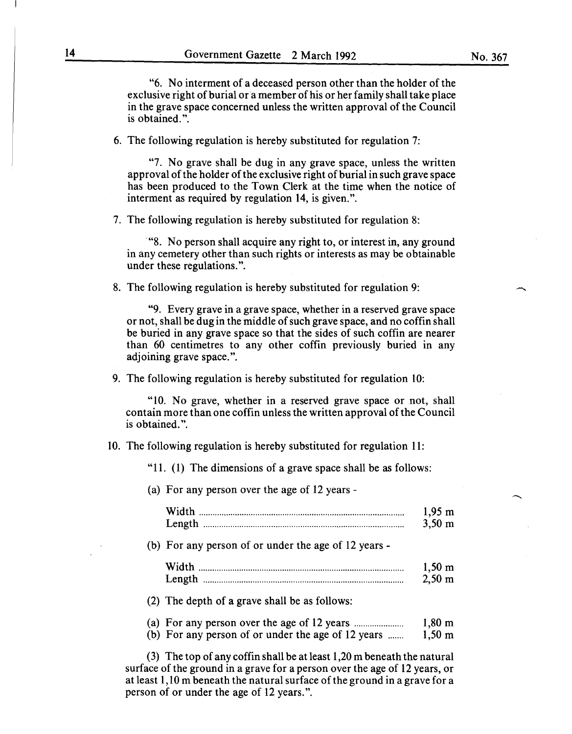"6. No interment of a deceased person other than the holder of the exclusive right of burial or a member of his or her family shall take place in the grave space concerned unless the written approval of the Council is obtained.".

6. The following regulation is hereby substituted for regulation 7:

"7. No grave shall be dug in any grave space, unless the written approval of the holder of the exclusive right of burial in such grave space has been produced to the Town Clerk at the time when the notice of interment as required by regulation 14, is given.".

7. The following regulation is hereby substituted for regulation 8:

· "8. No person shall acquire any right to, or interest in, any ground in any cemetery other than such rights or interests as may be obtainable under these regulations.".

8. The following regulation is hereby substituted for regulation 9:

"9. Every grave in a grave space, whether in a reserved grave space or not, shall be dug in the middle of such grave space, and no coffin shall be buried in any grave space so that the sides of such coffin are nearer than 60 centimetres to any other coffin previously buried in any adjoining grave space.".

9. The following regulation is hereby substituted for regulation 10:

"10. No grave, whether in a reserved grave space or not, shall contain more than one coffin unless the written approval of the Council is obtained.".

10. The following regulation is hereby substituted for regulation 11:

"11. (1) The dimensions of a grave space shall be as follows:

(a) For any person over the age of 12 years-

|                                                      | $1,95 \; \text{m}$<br>$3,50 \; \text{m}$ |
|------------------------------------------------------|------------------------------------------|
| (b) For any person of or under the age of 12 years - |                                          |
|                                                      | $1,50 \; \text{m}$<br>$2,50 \; \text{m}$ |

(2) The depth of a grave shall be as follows:

(a) For any person over the age of 12 years .................... .. 1,80 m

(b) For any person of or under the age of 12 years ....... 1,50 m

(3) The top of any coff in shall be at least  $1,20$  m beneath the natural surface of the ground in a grave for a person over the age of 12 years, or at least 1, 10 m beneath the natural surface of the ground in a grave for a person of or under the age of 12 years.".

-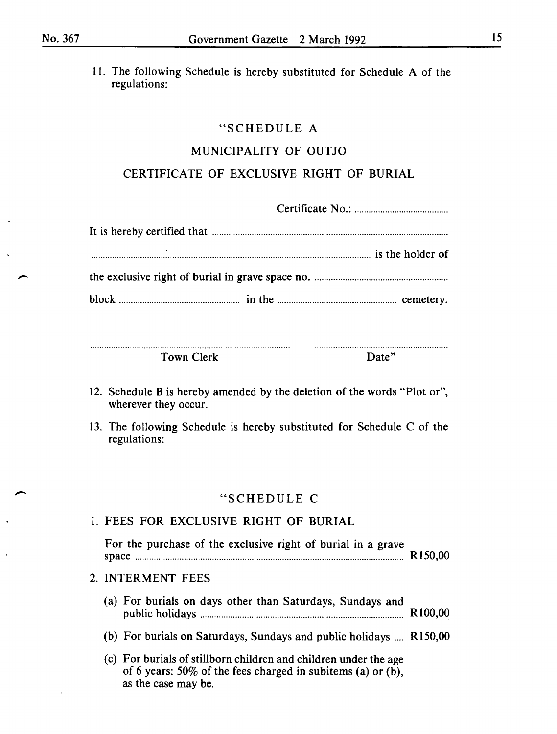11. The following Schedule is hereby substituted for Schedule A of the regulations:

# "SCHEDULE A

# MUNICIPALITY OF OUTJO

# CERTIFICATE OF EXCLUSIVE RIGHT OF BURIAL

Town Clerk Date"

- 12. Schedule B is hereby amended by the deletion of the words "Plot or", wherever they occur.
- 13. The following Schedule is hereby substituted for Schedule C of the regulations:

# "SCHEDULE C

| 1. FEES FOR EXCLUSIVE RIGHT OF BURIAL                                                                                                                     |                     |
|-----------------------------------------------------------------------------------------------------------------------------------------------------------|---------------------|
| For the purchase of the exclusive right of burial in a grave                                                                                              | R <sub>150,00</sub> |
| 2. INTERMENT FEES                                                                                                                                         |                     |
| (a) For burials on days other than Saturdays, Sundays and                                                                                                 | R <sub>100,00</sub> |
| (b) For burials on Saturdays, Sundays and public holidays  R150,00                                                                                        |                     |
| (c) For burials of stillborn children and children under the age<br>of 6 years: $50\%$ of the fees charged in subitems (a) or (b),<br>as the case may be. |                     |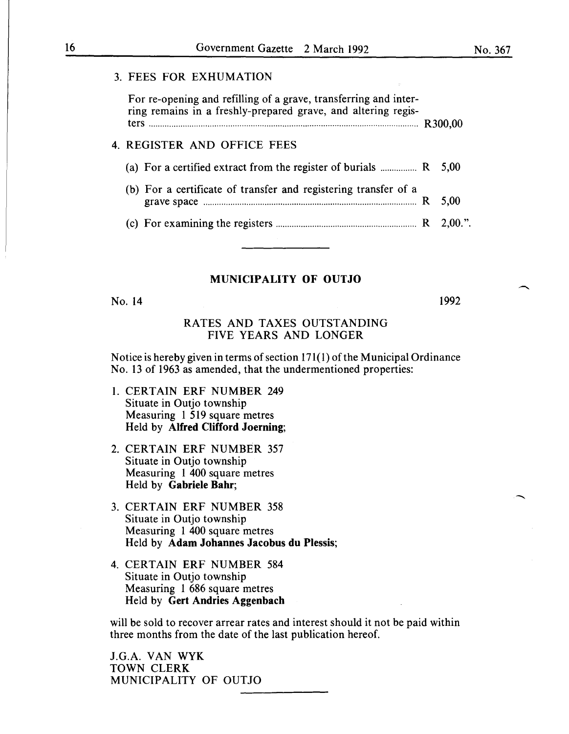# 3. FEES FOR EXHUMATION

For re-opening and refilling of a grave, transferring and interring remains in a freshly-prepared grave, and altering registers ....................................................................................................................... R300,00

# 4. REGISTER AND OFFICE FEES

| (a) For a certified extract from the register of burials $\ldots$ $\ldots$ R 5,00                          |  |
|------------------------------------------------------------------------------------------------------------|--|
| (b) For a certificate of transfer and registering transfer of a                                            |  |
| (c) For examining the registers $\ldots$ $\ldots$ $\ldots$ $\ldots$ $\ldots$ $\ldots$ $\ldots$ $R$ 2,00.". |  |

# MUNICIPALITY OF OUTJO

No. 14

1992

# RATES AND TAXES OUTSTANDING FIVE YEARS AND LONGER

Notice is hereby given in terms of section 171(1) of the Municipal Ordinance No. 13 of 1963 as amended, that the undermentioned properties:

- 1. CERTAIN ERF NUMBER 249 Situate in Outjo township Measuring 1 519 square metres Held by Alfred Clifford Joerning;
- 2. CERTAIN ERF NUMBER 357 Situate in Outjo township Measuring 1 400 square metres Held by Gabriele Bahr;
- 3. CERTAIN ERF NUMBER 358 Situate in Outjo township Measuring 1 400 square metres Held by Adam Johannes Jacobus du Plessis;
- 4. CERTAIN ERF NUMBER 584 Situate in Outjo township Measuring 1 686 square metres Held by Gert Andries Aggenbach

will be sold to recover arrear rates and interest should it not be paid within three months from the date of the last publication hereof.

J.G.A. VAN WYK TOWN CLERK MUNICIPALITY OF OUTJO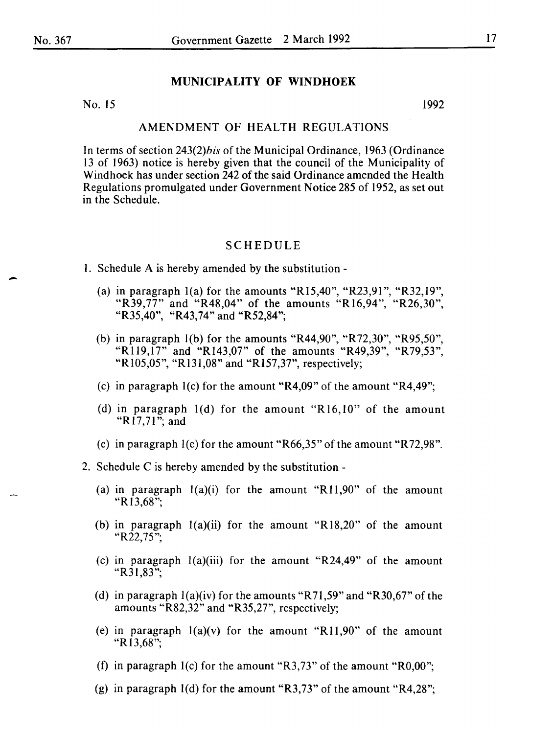# **MUNICIPALITY OF WINDHOEK**

No. 15 1992

# AMENDMENT OF HEALTH REGULATIONS

In terms of section *243(2)bis* of the Municipal Ordinance, 1963 (Ordinance 13 of 1963) notice is hereby given that the council of the Municipality of Windhoek has under section 242 of the said Ordinance amended the Health Regulations promulgated under Government Notice 285 of 1952, as set out in the Schedule.

#### SCHEDULE

- I. Schedule A is hereby amended by the substitution
	- (a) in paragraph  $1(a)$  for the amounts "R15,40", "R23,91", "R32,19", "R39,77" and "R48,04" of the amounts "R16,94", "R26,30", "R35,40", "R43,74" and "R52,84";
	- (b) in paragraph l(b) for the amounts "R44,90", "R72,30", "R95,50", "R119,17" and "R143,07" of the amounts "R49,39", "R79,53", "Rl05,05", "Rl31,08" and "Rl57,37", respectively;
	- (c) in paragraph l(c) for the amount "R4,09" of the amount "R4,49";
	- (d) in paragraph l(d) for the amount "Rl6,10" of the amount "R17,71"; and
	- (e) in paragraph l(e) for the amount "R66,35" of the amount "R 72,98".
- 2. Schedule C is hereby amended by the substitution
	- (a) in paragraph  $l(a)(i)$  for the amount "R11,90" of the amount "Rl3,68";
	- (b) in paragraph  $1(a)(ii)$  for the amount "R18,20" of the amount " $R22.75$ ":
	- (c) in paragraph  $l(a)(iii)$  for the amount "R24,49" of the amount "R $31,83$ ";
	- (d) in paragraph  $l(a)(iv)$  for the amounts "R71,59" and "R30,67" of the amounts "R82,32" and "R35,27", respectively;
	- (e) in paragraph  $l(a)(v)$  for the amount "R11,90" of the amount "Rl3,68";
	- (f) in paragraph  $I(c)$  for the amount "R3,73" of the amount "R0,00";
	- (g) in paragraph  $1(d)$  for the amount "R3,73" of the amount "R4,28";